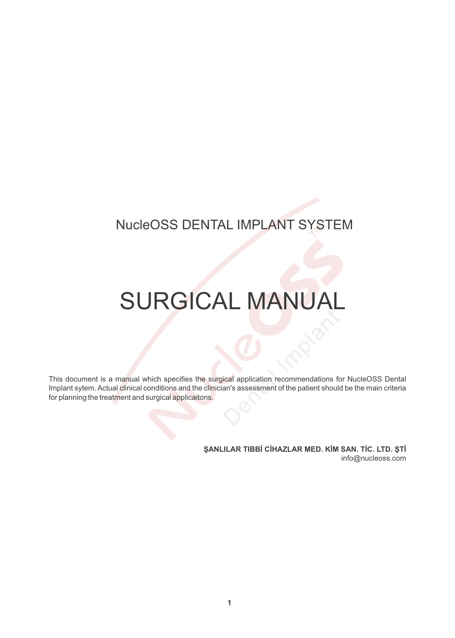## **NucleOSS DENTAL IMPLANT SYSTEM**

## **SURGICAL MANUAL**

This document is a manual which specifies the surgical application recommendations for NucleOSS Dental Implant sytem. Actual clinical conditions and the clinician's assessment of the patient should be the main criteria for planning the treatment and surgical applicaitons.

> ŞANLILAR TIBBİ CİHAZLAR MED. KİM SAN. TİC. LTD. ŞTİ info@nucleoss.com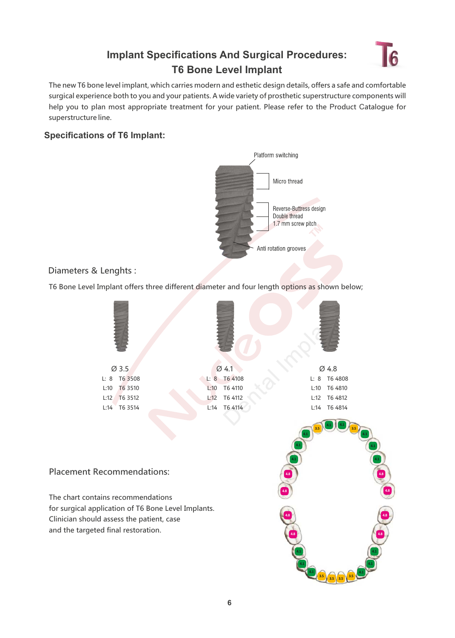## **Implant Specifications And Surgical Procedures: T6 Bone Level Implant**



The new T6 bone level implant, which carries modern and esthetic design details, offers a safe and comfortable surgical experience both to you and your patients. A wide variety of prosthetic superstructure components will help you to plan most appropriate treatment for your patient. Please refer to the Product Catalogue for superstructure line.

### **Specifications of T6 Implant:**



### Diameters & Lenghts :

T6 Bone Level Implant offers three different diameter and four length options as shown below;

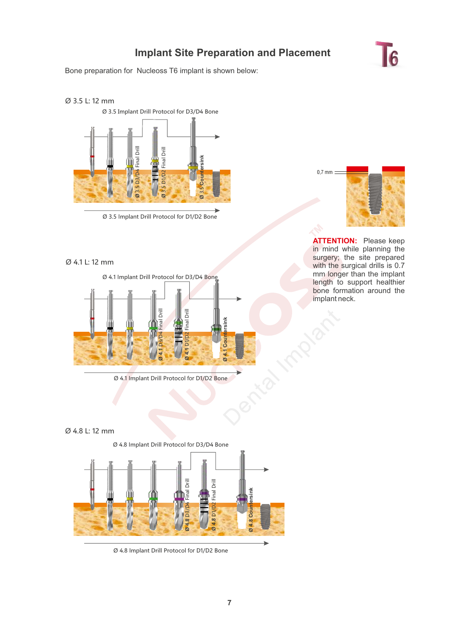## **Implant Site Preparation and Placement**

Bone preparation for Nucleoss T6 implant is shown below:

# $6$

### Ø 3.5 L: 12 mm



Ø 3.5 Implant Drill Protocol for D1/D2 Bone

### Ø 4.1 L: 12 mm







**ATTENTION:** Please keep in mind while planning the surgery; the site prepared with the surgical drills is 0.7 mm longer than the implant length to support healthier bone formation around the mplant neck.

#### Ø 4.8 L: 12 mm



Ø 4.8 Implant Drill Protocol for D1/D2 Bone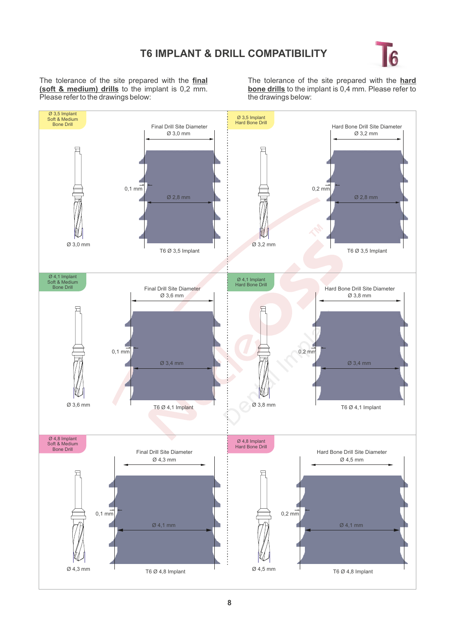

The tolerance of the site prepared with the **final (soft & medium) drills** to the implant is 0,2 mm. Please refer to the drawings below:

The tolerance of the site prepared with the **hard bone drills** to the implant is 0,4 mm. Please refer to the drawings below: